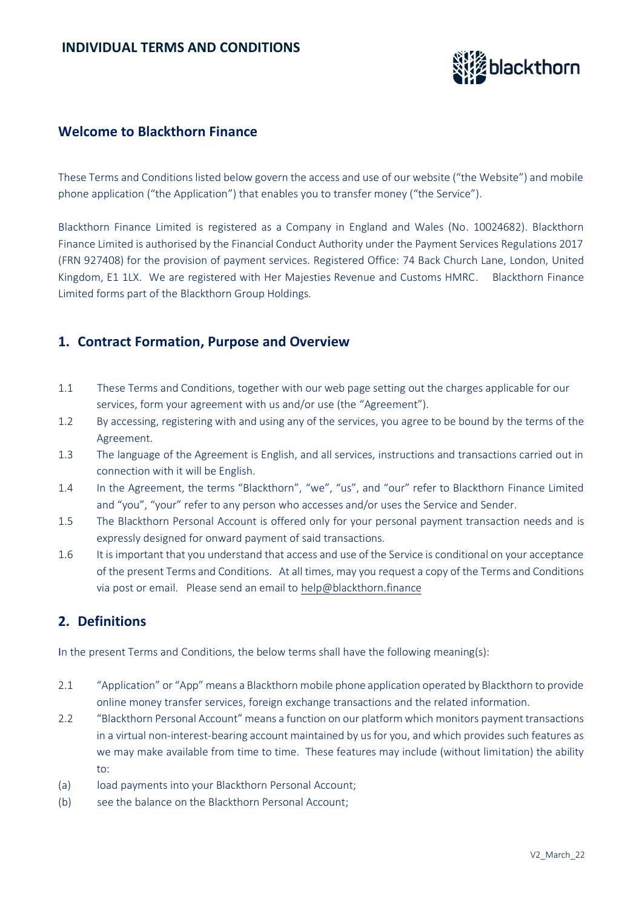

## **Welcome to Blackthorn Finance**

These Terms and Conditions listed below govern the access and use of our website ("the Website") and mobile phone application ("the Application") that enables you to transfer money ("the Service").

Blackthorn Finance Limited is registered as a Company in England and Wales (No. 10024682). Blackthorn Finance Limited is authorised by the Financial Conduct Authority under the Payment Services Regulations 2017 (FRN 927408) for the provision of payment services. Registered Office: 74 Back Church Lane, London, United Kingdom, E1 1LX. We are registered with Her Majesties Revenue and Customs HMRC. Blackthorn Finance Limited forms part of the Blackthorn Group Holdings.

#### **1. Contract Formation, Purpose and Overview**

- 1.1 These Terms and Conditions, together with our web page setting out the charges applicable for our services, form your agreement with us and/or use (the "Agreement").
- 1.2 By accessing, registering with and using any of the services, you agree to be bound by the terms of the Agreement.
- 1.3 The language of the Agreement is English, and all services, instructions and transactions carried out in connection with it will be English.
- 1.4 In the Agreement, the terms "Blackthorn", "we", "us", and "our" refer to Blackthorn Finance Limited and "you", "your" refer to any person who accesses and/or uses the Service and Sender.
- 1.5 The Blackthorn Personal Account is offered only for your personal payment transaction needs and is expressly designed for onward payment of said transactions.
- 1.6 It is important that you understand that access and use of the Service is conditional on your acceptance of the present Terms and Conditions. At all times, may you request a copy of the Terms and Conditions via post or email. Please send an email to [help@blackthorn.finance](mailto:help@blackthorn.finance)

# **2. Definitions**

In the present Terms and Conditions, the below terms shall have the following meaning(s):

- 2.1 "Application" or "App" means a Blackthorn mobile phone application operated by Blackthorn to provide online money transfer services, foreign exchange transactions and the related information.
- 2.2 "Blackthorn Personal Account" means a function on our platform which monitors payment transactions in a virtual non-interest-bearing account maintained by us for you, and which provides such features as we may make available from time to time. These features may include (without limitation) the ability to:
- (a) load payments into your Blackthorn Personal Account;
- (b) see the balance on the Blackthorn Personal Account;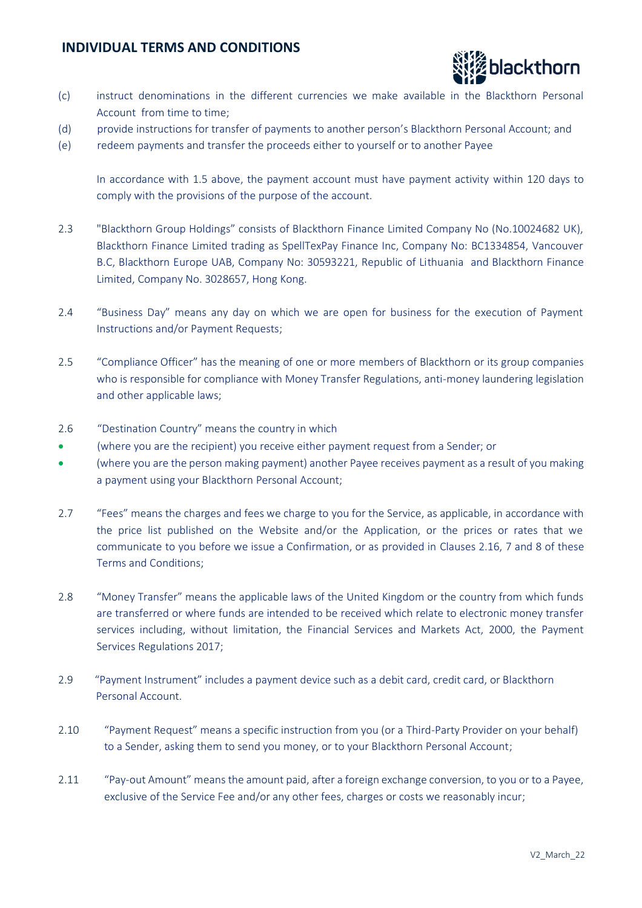

- (c) instruct denominations in the different currencies we make available in the Blackthorn Personal Account from time to time;
- (d) provide instructions for transfer of payments to another person's Blackthorn Personal Account; and
- (e) redeem payments and transfer the proceeds either to yourself or to another Payee

In accordance with 1.5 above, the payment account must have payment activity within 120 days to comply with the provisions of the purpose of the account.

- 2.3 "Blackthorn Group Holdings" consists of Blackthorn Finance Limited Company No (No.10024682 UK), Blackthorn Finance Limited trading as SpellTexPay Finance Inc, Company No: BC1334854, Vancouver B.C, Blackthorn Europe UAB, Company No: 30593221, Republic of Lithuania and Blackthorn Finance Limited, Company No. 3028657, Hong Kong.
- 2.4 "Business Day" means any day on which we are open for business for the execution of Payment Instructions and/or Payment Requests;
- 2.5 "Compliance Officer" has the meaning of one or more members of Blackthorn or its group companies who is responsible for compliance with Money Transfer Regulations, anti-money laundering legislation and other applicable laws;
- 2.6 "Destination Country" means the country in which
- (where you are the recipient) you receive either payment request from a Sender; or
- (where you are the person making payment) another Payee receives payment as a result of you making a payment using your Blackthorn Personal Account;
- 2.7 "Fees" means the charges and fees we charge to you for the Service, as applicable, in accordance with the price list published on the Website and/or the Application, or the prices or rates that we communicate to you before we issue a Confirmation, or as provided in Clauses 2.16, 7 and 8 of these Terms and Conditions;
- 2.8 "Money Transfer" means the applicable laws of the United Kingdom or the country from which funds are transferred or where funds are intended to be received which relate to electronic money transfer services including, without limitation, the Financial Services and Markets Act, 2000, the Payment Services Regulations 2017;
- 2.9 "Payment Instrument" includes a payment device such as a debit card, credit card, or Blackthorn Personal Account.
- 2.10 "Payment Request" means a specific instruction from you (or a Third-Party Provider on your behalf) to a Sender, asking them to send you money, or to your Blackthorn Personal Account;
- 2.11 "Pay-out Amount" means the amount paid, after a foreign exchange conversion, to you or to a Payee, exclusive of the Service Fee and/or any other fees, charges or costs we reasonably incur;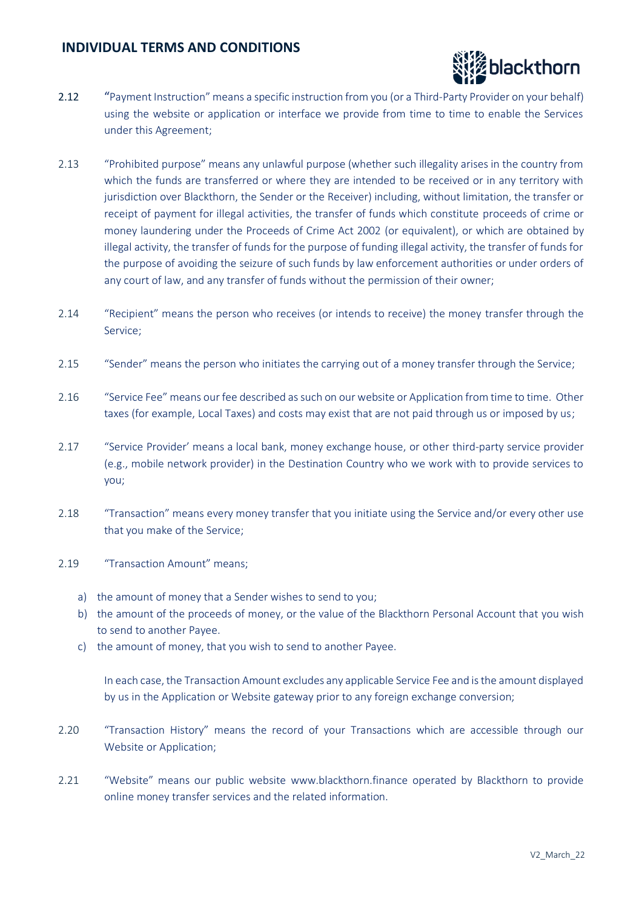

- 2.12 "Payment Instruction" means a specific instruction from you (or a Third-Party Provider on your behalf) using the website or application or interface we provide from time to time to enable the Services under this Agreement;
- 2.13 "Prohibited purpose" means any unlawful purpose (whether such illegality arises in the country from which the funds are transferred or where they are intended to be received or in any territory with jurisdiction over Blackthorn, the Sender or the Receiver) including, without limitation, the transfer or receipt of payment for illegal activities, the transfer of funds which constitute proceeds of crime or money laundering under the Proceeds of Crime Act 2002 (or equivalent), or which are obtained by illegal activity, the transfer of funds for the purpose of funding illegal activity, the transfer of funds for the purpose of avoiding the seizure of such funds by law enforcement authorities or under orders of any court of law, and any transfer of funds without the permission of their owner;
- 2.14 "Recipient" means the person who receives (or intends to receive) the money transfer through the Service;
- 2.15 "Sender" means the person who initiates the carrying out of a money transfer through the Service;
- 2.16 "Service Fee" means our fee described as such on our website or Application from time to time. Other taxes (for example, Local Taxes) and costs may exist that are not paid through us or imposed by us;
- 2.17 "Service Provider' means a local bank, money exchange house, or other third-party service provider (e.g., mobile network provider) in the Destination Country who we work with to provide services to you;
- 2.18 "Transaction" means every money transfer that you initiate using the Service and/or every other use that you make of the Service;
- 2.19 "Transaction Amount" means;
	- a) the amount of money that a Sender wishes to send to you;
	- b) the amount of the proceeds of money, or the value of the Blackthorn Personal Account that you wish to send to another Payee.
	- c) the amount of money, that you wish to send to another Payee.

In each case, the Transaction Amount excludes any applicable Service Fee and is the amount displayed by us in the Application or Website gateway prior to any foreign exchange conversion;

- 2.20 "Transaction History" means the record of your Transactions which are accessible through our Website or Application;
- 2.21 "Website" means our public website [www.blackthorn.finance](http://www.blackthorn.finance/) operated by Blackthorn to provide online money transfer services and the related information.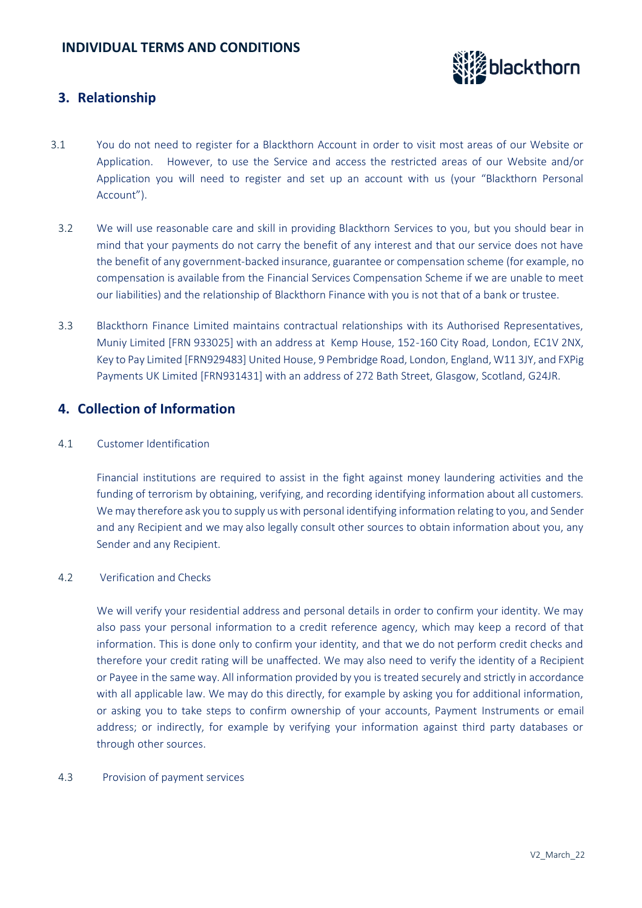

# **3. Relationship**

- 3.1 You do not need to register for a Blackthorn Account in order to visit most areas of our Website or Application. However, to use the Service and access the restricted areas of our Website and/or Application you will need to register and set up an account with us (your "Blackthorn Personal Account").
- 3.2 We will use reasonable care and skill in providing Blackthorn Services to you, but you should bear in mind that your payments do not carry the benefit of any interest and that our service does not have the benefit of any government-backed insurance, guarantee or compensation scheme (for example, no compensation is available from the Financial Services Compensation Scheme if we are unable to meet our liabilities) and the relationship of Blackthorn Finance with you is not that of a bank or trustee.
- 3.3 Blackthorn Finance Limited maintains contractual relationships with its Authorised Representatives, Muniy Limited [FRN 933025] with an address at Kemp House, 152-160 City Road, London, EC1V 2NX, Key to Pay Limited [FRN929483] United House, 9 Pembridge Road, London, England, W11 3JY, and FXPig Payments UK Limited [FRN931431] with an address of 272 Bath Street, Glasgow, Scotland, G24JR.

# **4. Collection of Information**

4.1 Customer Identification

Financial institutions are required to assist in the fight against money laundering activities and the funding of terrorism by obtaining, verifying, and recording identifying information about all customers. We may therefore ask you to supply us with personal identifying information relating to you, and Sender and any Recipient and we may also legally consult other sources to obtain information about you, any Sender and any Recipient.

#### 4.2 Verification and Checks

 We will verify your residential address and personal details in order to confirm your identity. We may also pass your personal information to a credit reference agency, which may keep a record of that information. This is done only to confirm your identity, and that we do not perform credit checks and therefore your credit rating will be unaffected. We may also need to verify the identity of a Recipient or Payee in the same way. All information provided by you is treated securely and strictly in accordance with all applicable law. We may do this directly, for example by asking you for additional information, or asking you to take steps to confirm ownership of your accounts, Payment Instruments or email address; or indirectly, for example by verifying your information against third party databases or through other sources.

#### 4.3 Provision of payment services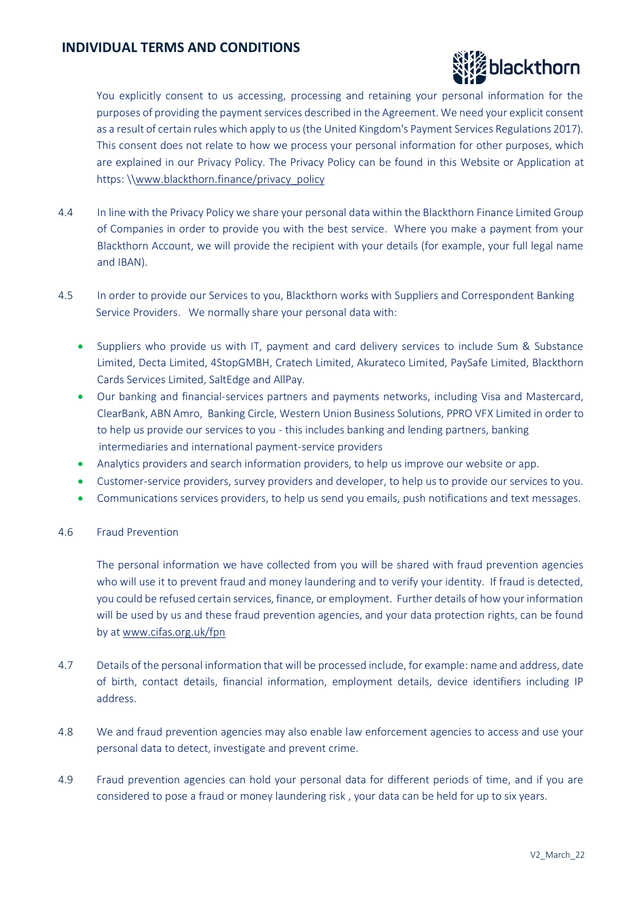

You explicitly consent to us accessing, processing and retaining your personal information for the purposes of providing the payment services described in the Agreement. We need your explicit consent as a result of certain rules which apply to us (the United Kingdom's Payment Services Regulations 2017). This consent does not relate to how we process your personal information for other purposes, which are explained in our Privacy Policy. The Privacy Policy can be found in this Website or Application at https: \[\www.blackthorn.finance/privacy\\_policy](http://www.blackthorn.finance/privacy_policy)

- 4.4 In line with the Privacy Policy we share your personal data within the Blackthorn Finance Limited Group of Companies in order to provide you with the best service. Where you make a payment from your Blackthorn Account, we will provide the recipient with your details (for example, your full legal name and IBAN).
- 4.5 In order to provide our Services to you, Blackthorn works with Suppliers and Correspondent Banking Service Providers. We normally share your personal data with:
	- Suppliers who provide us with IT, payment and card delivery services to include Sum & Substance Limited, Decta Limited, 4StopGMBH, Cratech Limited, Akurateco Limited, PaySafe Limited, Blackthorn Cards Services Limited, SaltEdge and AllPay.
	- Our banking and financial-services partners and payments networks, including Visa and Mastercard, ClearBank, ABN Amro, Banking Circle, Western Union Business Solutions, PPRO VFX Limited in order to to help us provide our services to you - this includes banking and lending partners, banking intermediaries and international payment-service providers
	- Analytics providers and search information providers, to help us improve our website or app.
	- Customer-service providers, survey providers and developer, to help us to provide our services to you.
	- Communications services providers, to help us send you emails, push notifications and text messages.

#### 4.6 Fraud Prevention

The personal information we have collected from you will be shared with fraud prevention agencies who will use it to prevent fraud and money laundering and to verify your identity. If fraud is detected, you could be refused certain services, finance, or employment. Further details of how your information will be used by us and these fraud prevention agencies, and your data protection rights, can be found by at [www.cifas.org.uk/fpn](http://www.cifas.org.uk/fpn)

- 4.7 Details of the personal information that will be processed include, for example: name and address, date of birth, contact details, financial information, employment details, device identifiers including IP address.
- 4.8 We and fraud prevention agencies may also enable law enforcement agencies to access and use your personal data to detect, investigate and prevent crime.
- 4.9 Fraud prevention agencies can hold your personal data for different periods of time, and if you are considered to pose a fraud or money laundering risk , your data can be held for up to six years.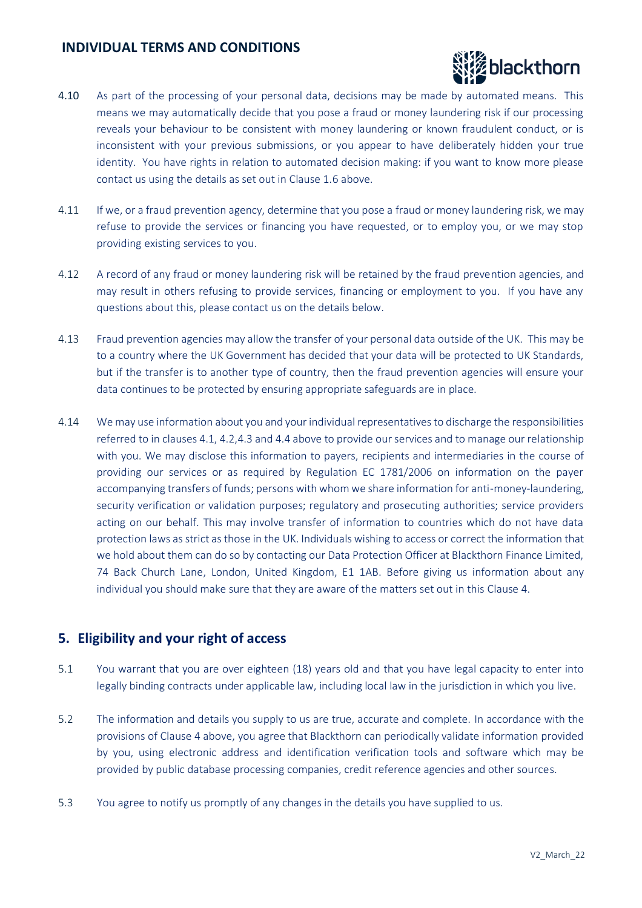

- 4.10 As part of the processing of your personal data, decisions may be made by automated means. This means we may automatically decide that you pose a fraud or money laundering risk if our processing reveals your behaviour to be consistent with money laundering or known fraudulent conduct, or is inconsistent with your previous submissions, or you appear to have deliberately hidden your true identity. You have rights in relation to automated decision making: if you want to know more please contact us using the details as set out in Clause 1.6 above.
- 4.11 If we, or a fraud prevention agency, determine that you pose a fraud or money laundering risk, we may refuse to provide the services or financing you have requested, or to employ you, or we may stop providing existing services to you.
- 4.12 A record of any fraud or money laundering risk will be retained by the fraud prevention agencies, and may result in others refusing to provide services, financing or employment to you. If you have any questions about this, please contact us on the details below.
- 4.13 Fraud prevention agencies may allow the transfer of your personal data outside of the UK. This may be to a country where the UK Government has decided that your data will be protected to UK Standards, but if the transfer is to another type of country, then the fraud prevention agencies will ensure your data continues to be protected by ensuring appropriate safeguards are in place.
- 4.14 We may use information about you and your individual representatives to discharge the responsibilities referred to in clauses 4.1, 4.2,4.3 and 4.4 above to provide our services and to manage our relationship with you. We may disclose this information to payers, recipients and intermediaries in the course of providing our services or as required by Regulation EC 1781/2006 on information on the payer accompanying transfers of funds; persons with whom we share information for anti-money-laundering, security verification or validation purposes; regulatory and prosecuting authorities; service providers acting on our behalf. This may involve transfer of information to countries which do not have data protection laws as strict as those in the UK. Individuals wishing to access or correct the information that we hold about them can do so by contacting our Data Protection Officer at Blackthorn Finance Limited, 74 Back Church Lane, London, United Kingdom, E1 1AB. Before giving us information about any individual you should make sure that they are aware of the matters set out in this Clause 4.

# **5. Eligibility and your right of access**

- 5.1 You warrant that you are over eighteen (18) years old and that you have legal capacity to enter into legally binding contracts under applicable law, including local law in the jurisdiction in which you live.
- 5.2 The information and details you supply to us are true, accurate and complete. In accordance with the provisions of Clause 4 above, you agree that Blackthorn can periodically validate information provided by you, using electronic address and identification verification tools and software which may be provided by public database processing companies, credit reference agencies and other sources.
- 5.3 You agree to notify us promptly of any changes in the details you have supplied to us.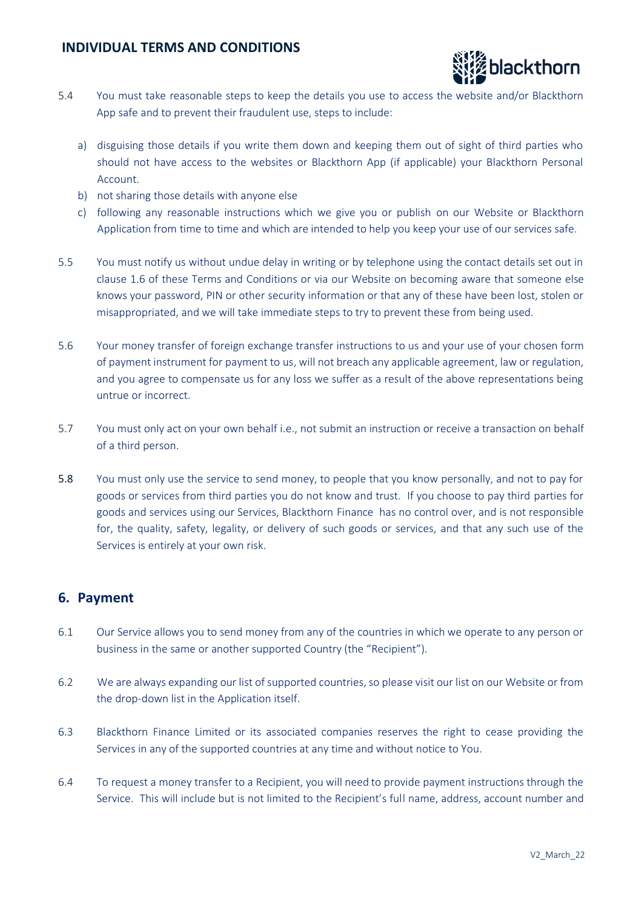

- 5.4 You must take reasonable steps to keep the details you use to access the website and/or Blackthorn App safe and to prevent their fraudulent use, steps to include:
	- a) disguising those details if you write them down and keeping them out of sight of third parties who should not have access to the websites or Blackthorn App (if applicable) your Blackthorn Personal Account.
	- b) not sharing those details with anyone else
	- c) following any reasonable instructions which we give you or publish on our Website or Blackthorn Application from time to time and which are intended to help you keep your use of our services safe.
- 5.5 You must notify us without undue delay in writing or by telephone using the contact details set out in clause 1.6 of these Terms and Conditions or via our Website on becoming aware that someone else knows your password, PIN or other security information or that any of these have been lost, stolen or misappropriated, and we will take immediate steps to try to prevent these from being used.
- 5.6 Your money transfer of foreign exchange transfer instructions to us and your use of your chosen form of payment instrument for payment to us, will not breach any applicable agreement, law or regulation, and you agree to compensate us for any loss we suffer as a result of the above representations being untrue or incorrect.
- 5.7 You must only act on your own behalf i.e., not submit an instruction or receive a transaction on behalf of a third person.
- 5.8 You must only use the service to send money, to people that you know personally, and not to pay for goods or services from third parties you do not know and trust. If you choose to pay third parties for goods and services using our Services, Blackthorn Finance has no control over, and is not responsible for, the quality, safety, legality, or delivery of such goods or services, and that any such use of the Services is entirely at your own risk.

# **6. Payment**

- 6.1 Our Service allows you to send money from any of the countries in which we operate to any person or business in the same or another supported Country (the "Recipient").
- 6.2 We are always expanding our list of supported countries, so please visit our list on our Website or from the drop-down list in the Application itself.
- 6.3 Blackthorn Finance Limited or its associated companies reserves the right to cease providing the Services in any of the supported countries at any time and without notice to You.
- 6.4 To request a money transfer to a Recipient, you will need to provide payment instructions through the Service. This will include but is not limited to the Recipient's full name, address, account number and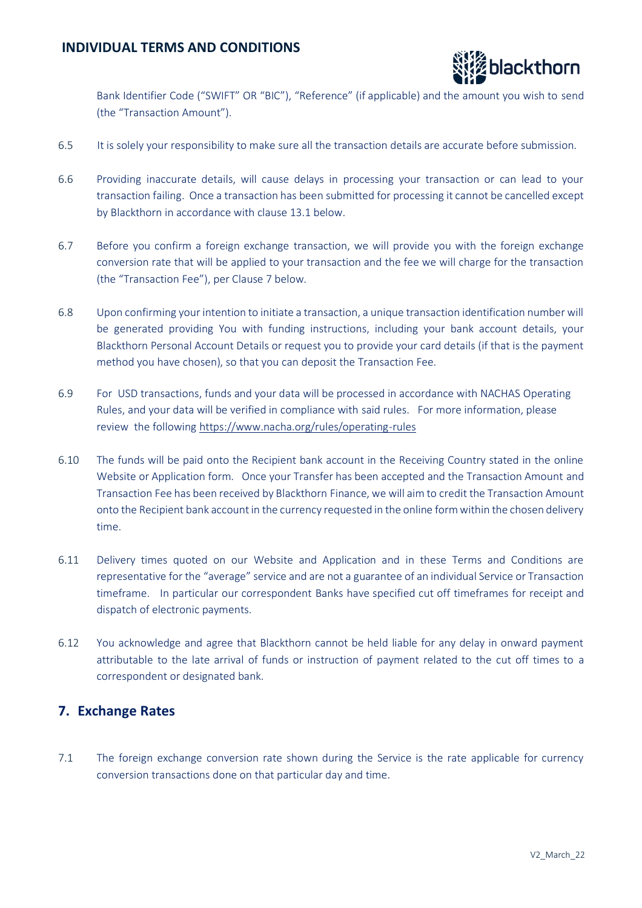

Bank Identifier Code ("SWIFT" OR "BIC"), "Reference" (if applicable) and the amount you wish to send (the "Transaction Amount").

- 6.5 It is solely your responsibility to make sure all the transaction details are accurate before submission.
- 6.6 Providing inaccurate details, will cause delays in processing your transaction or can lead to your transaction failing. Once a transaction has been submitted for processing it cannot be cancelled except by Blackthorn in accordance with clause 13.1 below.
- 6.7 Before you confirm a foreign exchange transaction, we will provide you with the foreign exchange conversion rate that will be applied to your transaction and the fee we will charge for the transaction (the "Transaction Fee"), per Clause 7 below.
- 6.8 Upon confirming your intention to initiate a transaction, a unique transaction identification number will be generated providing You with funding instructions, including your bank account details, your Blackthorn Personal Account Details or request you to provide your card details (if that is the payment method you have chosen), so that you can deposit the Transaction Fee.
- 6.9 For USD transactions, funds and your data will be processed in accordance with NACHAS Operating Rules, and your data will be verified in compliance with said rules. For more information, please review the followin[g https://www.nacha.org/rules/operating-rules](https://www.nacha.org/rules/operating-rules)
- 6.10 The funds will be paid onto the Recipient bank account in the Receiving Country stated in the online Website or Application form. Once your Transfer has been accepted and the Transaction Amount and Transaction Fee has been received by Blackthorn Finance, we will aim to credit the Transaction Amount onto the Recipient bank account in the currency requested in the online form within the chosen delivery time.
- 6.11 Delivery times quoted on our Website and Application and in these Terms and Conditions are representative for the "average" service and are not a guarantee of an individual Service or Transaction timeframe. In particular our correspondent Banks have specified cut off timeframes for receipt and dispatch of electronic payments.
- 6.12 You acknowledge and agree that Blackthorn cannot be held liable for any delay in onward payment attributable to the late arrival of funds or instruction of payment related to the cut off times to a correspondent or designated bank.

#### **7. Exchange Rates**

7.1 The foreign exchange conversion rate shown during the Service is the rate applicable for currency conversion transactions done on that particular day and time.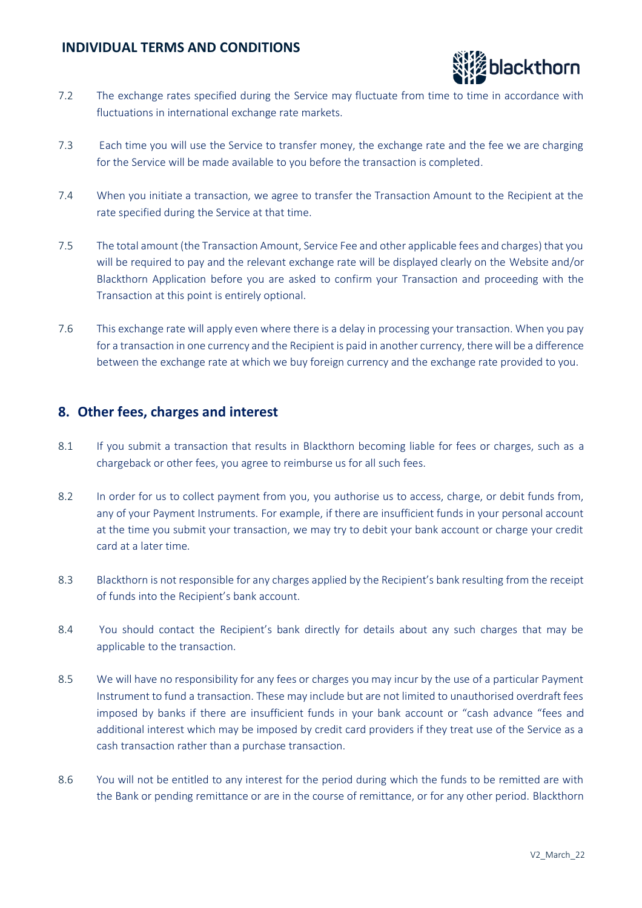

- 7.2 The exchange rates specified during the Service may fluctuate from time to time in accordance with fluctuations in international exchange rate markets.
- 7.3 Each time you will use the Service to transfer money, the exchange rate and the fee we are charging for the Service will be made available to you before the transaction is completed.
- 7.4 When you initiate a transaction, we agree to transfer the Transaction Amount to the Recipient at the rate specified during the Service at that time.
- 7.5 The total amount (the Transaction Amount, Service Fee and other applicable fees and charges) that you will be required to pay and the relevant exchange rate will be displayed clearly on the Website and/or Blackthorn Application before you are asked to confirm your Transaction and proceeding with the Transaction at this point is entirely optional.
- 7.6 This exchange rate will apply even where there is a delay in processing your transaction. When you pay for a transaction in one currency and the Recipient is paid in another currency, there will be a difference between the exchange rate at which we buy foreign currency and the exchange rate provided to you.

#### **8. Other fees, charges and interest**

- 8.1 If you submit a transaction that results in Blackthorn becoming liable for fees or charges, such as a chargeback or other fees, you agree to reimburse us for all such fees.
- 8.2 In order for us to collect payment from you, you authorise us to access, charge, or debit funds from, any of your Payment Instruments. For example, if there are insufficient funds in your personal account at the time you submit your transaction, we may try to debit your bank account or charge your credit card at a later time.
- 8.3 Blackthorn is not responsible for any charges applied by the Recipient's bank resulting from the receipt of funds into the Recipient's bank account.
- 8.4 You should contact the Recipient's bank directly for details about any such charges that may be applicable to the transaction.
- 8.5 We will have no responsibility for any fees or charges you may incur by the use of a particular Payment Instrument to fund a transaction. These may include but are not limited to unauthorised overdraft fees imposed by banks if there are insufficient funds in your bank account or "cash advance "fees and additional interest which may be imposed by credit card providers if they treat use of the Service as a cash transaction rather than a purchase transaction.
- 8.6 You will not be entitled to any interest for the period during which the funds to be remitted are with the Bank or pending remittance or are in the course of remittance, or for any other period. Blackthorn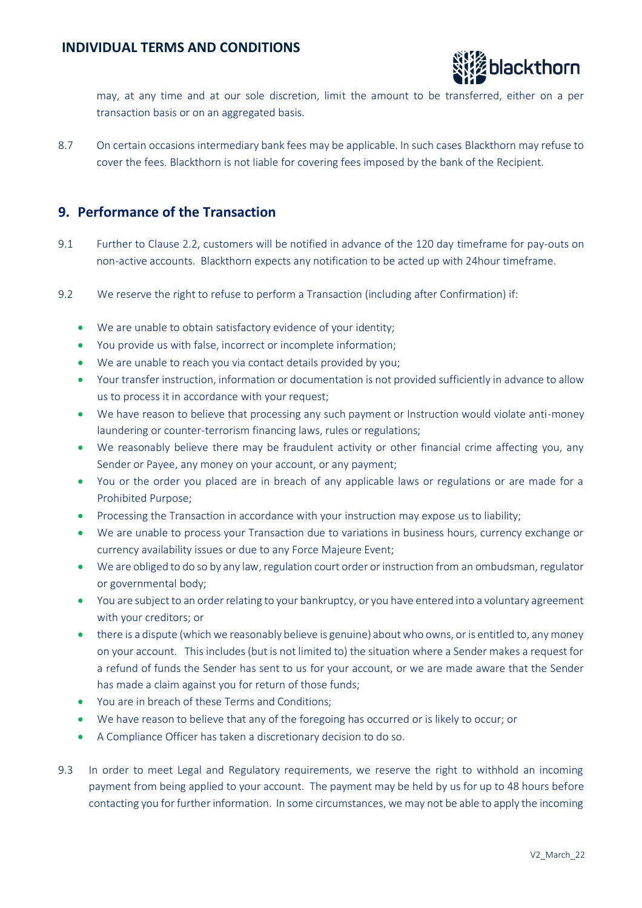

may, at any time and at our sole discretion, limit the amount to be transferred, either on a per transaction basis or on an aggregated basis.

8.7 On certain occasions intermediary bank fees may be applicable. In such cases Blackthorn may refuse to cover the fees. Blackthorn is not liable for covering fees imposed by the bank of the Recipient.

# **9. Performance of the Transaction**

- 9.1 Further to Clause 2.2, customers will be notified in advance of the 120 day timeframe for pay-outs on non-active accounts. Blackthorn expects any notification to be acted up with 24hour timeframe.
- 9.2 We reserve the right to refuse to perform a Transaction (including after Confirmation) if:
	- We are unable to obtain satisfactory evidence of your identity;
	- You provide us with false, incorrect or incomplete information;
	- We are unable to reach you via contact details provided by you;
	- Your transfer instruction, information or documentation is not provided sufficiently in advance to allow us to process it in accordance with your request;
	- We have reason to believe that processing any such payment or Instruction would violate anti-money laundering or counter-terrorism financing laws, rules or regulations;
	- We reasonably believe there may be fraudulent activity or other financial crime affecting you, any Sender or Payee, any money on your account, or any payment;
	- You or the order you placed are in breach of any applicable laws or regulations or are made for a Prohibited Purpose;
	- Processing the Transaction in accordance with your instruction may expose us to liability;
	- We are unable to process your Transaction due to variations in business hours, currency exchange or currency availability issues or due to any Force Majeure Event;
	- We are obliged to do so by any law, regulation court order or instruction from an ombudsman, regulator or governmental body;
	- You are subject to an order relating to your bankruptcy, or you have entered into a voluntary agreement with your creditors; or
	- there is a dispute (which we reasonably believe is genuine) about who owns, or is entitled to, any money on your account. This includes (but is not limited to) the situation where a Sender makes a request for a refund of funds the Sender has sent to us for your account, or we are made aware that the Sender has made a claim against you for return of those funds;
	- You are in breach of these Terms and Conditions;
	- We have reason to believe that any of the foregoing has occurred or is likely to occur; or
	- A Compliance Officer has taken a discretionary decision to do so.
- 9.3 In order to meet Legal and Regulatory requirements, we reserve the right to withhold an incoming payment from being applied to your account. The payment may be held by us for up to 48 hours before contacting you for further information. In some circumstances, we may not be able to apply the incoming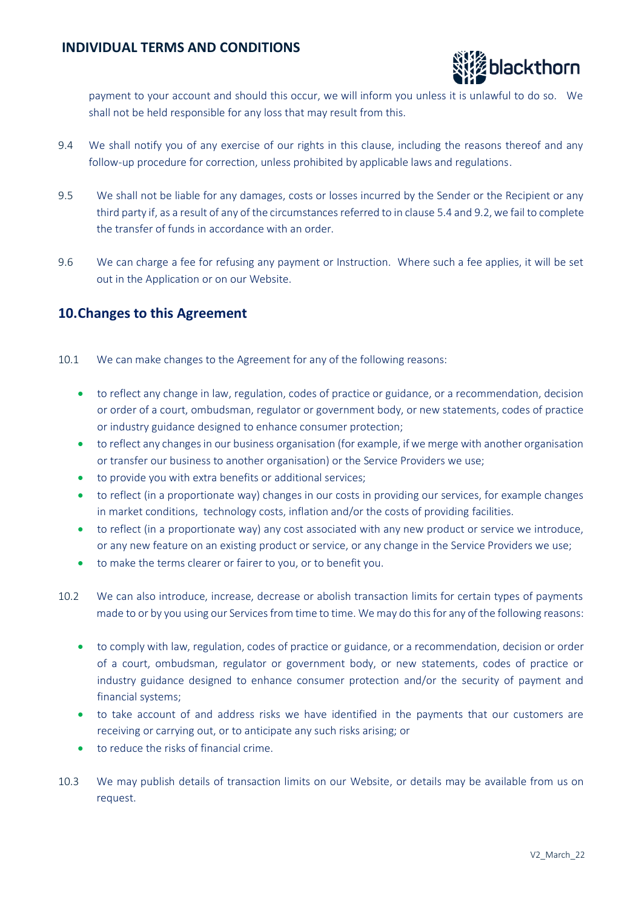

payment to your account and should this occur, we will inform you unless it is unlawful to do so. We shall not be held responsible for any loss that may result from this.

- 9.4 We shall notify you of any exercise of our rights in this clause, including the reasons thereof and any follow-up procedure for correction, unless prohibited by applicable laws and regulations.
- 9.5 We shall not be liable for any damages, costs or losses incurred by the Sender or the Recipient or any third party if, as a result of any of the circumstances referred to in clause 5.4 and 9.2, we fail to complete the transfer of funds in accordance with an order.
- 9.6 We can charge a fee for refusing any payment or Instruction. Where such a fee applies, it will be set out in the Application or on our Website.

## **10.Changes to this Agreement**

- 10.1 We can make changes to the Agreement for any of the following reasons:
	- to reflect any change in law, regulation, codes of practice or guidance, or a recommendation, decision or order of a court, ombudsman, regulator or government body, or new statements, codes of practice or industry guidance designed to enhance consumer protection;
	- to reflect any changes in our business organisation (for example, if we merge with another organisation or transfer our business to another organisation) or the Service Providers we use;
	- to provide you with extra benefits or additional services;
	- to reflect (in a proportionate way) changes in our costs in providing our services, for example changes in market conditions, technology costs, inflation and/or the costs of providing facilities.
	- to reflect (in a proportionate way) any cost associated with any new product or service we introduce, or any new feature on an existing product or service, or any change in the Service Providers we use;
	- to make the terms clearer or fairer to you, or to benefit you.
- 10.2 We can also introduce, increase, decrease or abolish transaction limits for certain types of payments made to or by you using our Services from time to time. We may do this for any of the following reasons:
	- to comply with law, regulation, codes of practice or guidance, or a recommendation, decision or order of a court, ombudsman, regulator or government body, or new statements, codes of practice or industry guidance designed to enhance consumer protection and/or the security of payment and financial systems;
	- to take account of and address risks we have identified in the payments that our customers are receiving or carrying out, or to anticipate any such risks arising; or
	- to reduce the risks of financial crime.
- 10.3 We may publish details of transaction limits on our Website, or details may be available from us on request.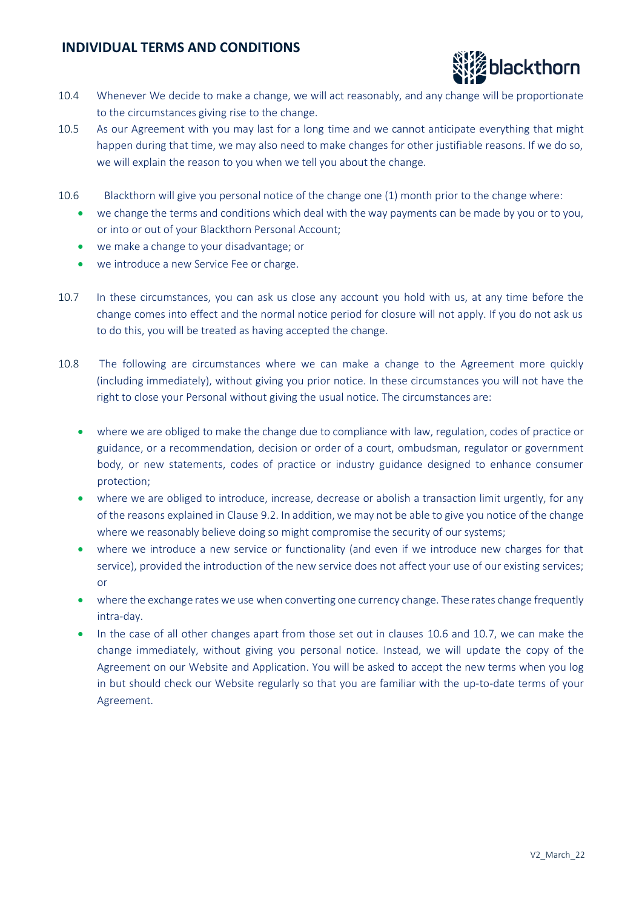

- 10.4 Whenever We decide to make a change, we will act reasonably, and any change will be proportionate to the circumstances giving rise to the change.
- 10.5 As our Agreement with you may last for a long time and we cannot anticipate everything that might happen during that time, we may also need to make changes for other justifiable reasons. If we do so, we will explain the reason to you when we tell you about the change.
- 10.6 Blackthorn will give you personal notice of the change one (1) month prior to the change where:
	- we change the terms and conditions which deal with the way payments can be made by you or to you, or into or out of your Blackthorn Personal Account;
	- we make a change to your disadvantage; or
	- we introduce a new Service Fee or charge.
- 10.7 In these circumstances, you can ask us close any account you hold with us, at any time before the change comes into effect and the normal notice period for closure will not apply. If you do not ask us to do this, you will be treated as having accepted the change.
- 10.8 The following are circumstances where we can make a change to the Agreement more quickly (including immediately), without giving you prior notice. In these circumstances you will not have the right to close your Personal without giving the usual notice. The circumstances are:
	- where we are obliged to make the change due to compliance with law, regulation, codes of practice or guidance, or a recommendation, decision or order of a court, ombudsman, regulator or government body, or new statements, codes of practice or industry guidance designed to enhance consumer protection;
	- where we are obliged to introduce, increase, decrease or abolish a transaction limit urgently, for any of the reasons explained in Clause 9.2. In addition, we may not be able to give you notice of the change where we reasonably believe doing so might compromise the security of our systems;
	- where we introduce a new service or functionality (and even if we introduce new charges for that service), provided the introduction of the new service does not affect your use of our existing services; or
	- where the exchange rates we use when converting one currency change. These rates change frequently intra-day.
	- In the case of all other changes apart from those set out in clauses 10.6 and 10.7, we can make the change immediately, without giving you personal notice. Instead, we will update the copy of the Agreement on our Website and Application. You will be asked to accept the new terms when you log in but should check our Website regularly so that you are familiar with the up-to-date terms of your Agreement.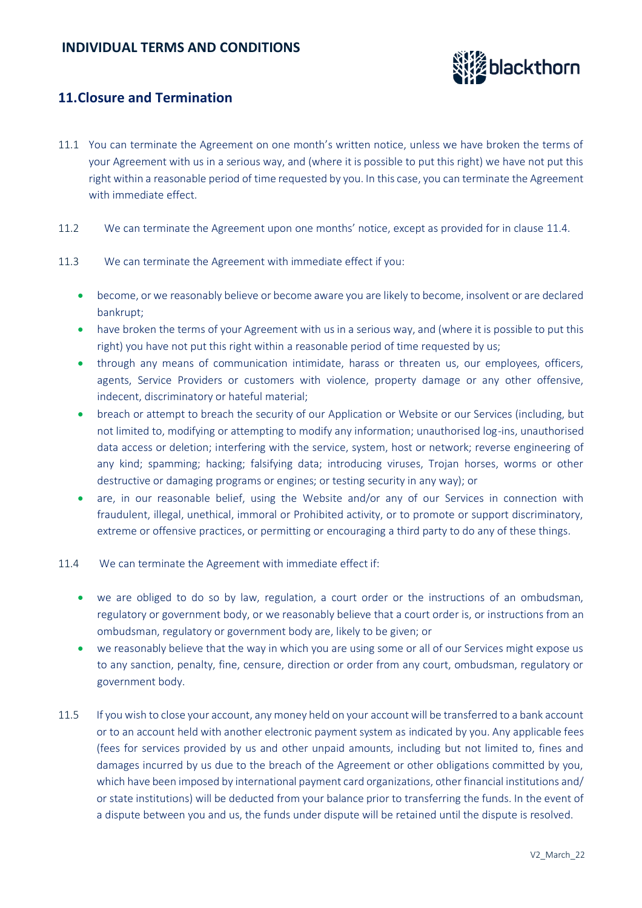

## **11.Closure and Termination**

- 11.1 You can terminate the Agreement on one month's written notice, unless we have broken the terms of your Agreement with us in a serious way, and (where it is possible to put this right) we have not put this right within a reasonable period of time requested by you. In this case, you can terminate the Agreement with immediate effect.
- 11.2 We can terminate the Agreement upon one months' notice, except as provided for in clause 11.4.
- 11.3 We can terminate the Agreement with immediate effect if you:
	- become, or we reasonably believe or become aware you are likely to become, insolvent or are declared bankrupt;
	- have broken the terms of your Agreement with us in a serious way, and (where it is possible to put this right) you have not put this right within a reasonable period of time requested by us;
	- through any means of communication intimidate, harass or threaten us, our employees, officers, agents, Service Providers or customers with violence, property damage or any other offensive, indecent, discriminatory or hateful material;
	- breach or attempt to breach the security of our Application or Website or our Services (including, but not limited to, modifying or attempting to modify any information; unauthorised log-ins, unauthorised data access or deletion; interfering with the service, system, host or network; reverse engineering of any kind; spamming; hacking; falsifying data; introducing viruses, Trojan horses, worms or other destructive or damaging programs or engines; or testing security in any way); or
	- are, in our reasonable belief, using the Website and/or any of our Services in connection with fraudulent, illegal, unethical, immoral or Prohibited activity, or to promote or support discriminatory, extreme or offensive practices, or permitting or encouraging a third party to do any of these things.
- 11.4 We can terminate the Agreement with immediate effect if:
	- we are obliged to do so by law, regulation, a court order or the instructions of an ombudsman, regulatory or government body, or we reasonably believe that a court order is, or instructions from an ombudsman, regulatory or government body are, likely to be given; or
	- we reasonably believe that the way in which you are using some or all of our Services might expose us to any sanction, penalty, fine, censure, direction or order from any court, ombudsman, regulatory or government body.
- 11.5 If you wish to close your account, any money held on your account will be transferred to a bank account or to an account held with another electronic payment system as indicated by you. Any applicable fees (fees for services provided by us and other unpaid amounts, including but not limited to, fines and damages incurred by us due to the breach of the Agreement or other obligations committed by you, which have been imposed by international payment card organizations, other financial institutions and/ or state institutions) will be deducted from your balance prior to transferring the funds. In the event of a dispute between you and us, the funds under dispute will be retained until the dispute is resolved.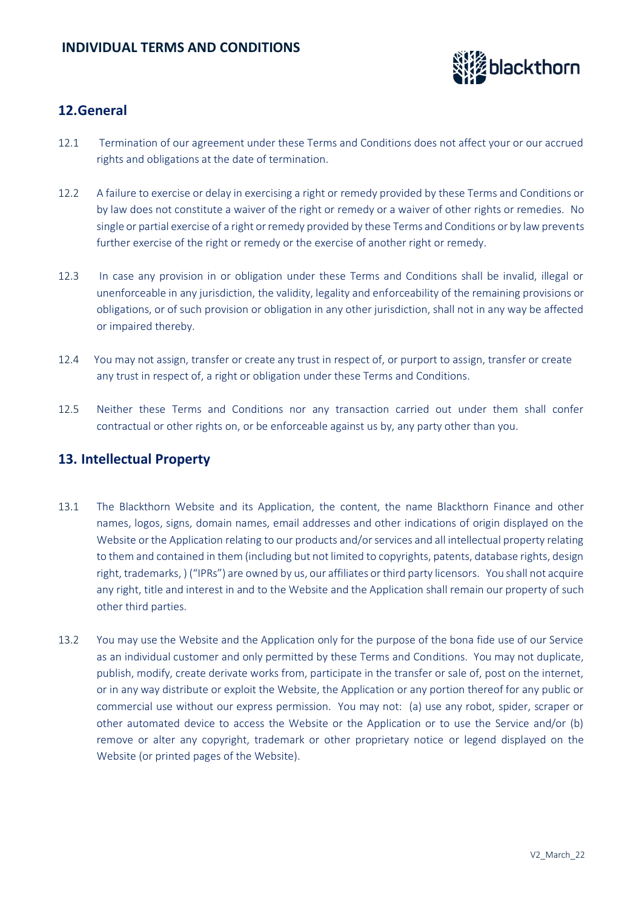

## **12.General**

- 12.1 Termination of our agreement under these Terms and Conditions does not affect your or our accrued rights and obligations at the date of termination.
- 12.2 A failure to exercise or delay in exercising a right or remedy provided by these Terms and Conditions or by law does not constitute a waiver of the right or remedy or a waiver of other rights or remedies. No single or partial exercise of a right or remedy provided by these Terms and Conditions or by law prevents further exercise of the right or remedy or the exercise of another right or remedy.
- 12.3 In case any provision in or obligation under these Terms and Conditions shall be invalid, illegal or unenforceable in any jurisdiction, the validity, legality and enforceability of the remaining provisions or obligations, or of such provision or obligation in any other jurisdiction, shall not in any way be affected or impaired thereby.
- 12.4 You may not assign, transfer or create any trust in respect of, or purport to assign, transfer or create any trust in respect of, a right or obligation under these Terms and Conditions.
- 12.5 Neither these Terms and Conditions nor any transaction carried out under them shall confer contractual or other rights on, or be enforceable against us by, any party other than you.

## **13. Intellectual Property**

- 13.1 The Blackthorn Website and its Application, the content, the name Blackthorn Finance and other names, logos, signs, domain names, email addresses and other indications of origin displayed on the Website or the Application relating to our products and/or services and all intellectual property relating to them and contained in them (including but not limited to copyrights, patents, database rights, design right, trademarks, ) ("IPRs") are owned by us, our affiliates or third party licensors. You shall not acquire any right, title and interest in and to the Website and the Application shall remain our property of such other third parties.
- 13.2 You may use the Website and the Application only for the purpose of the bona fide use of our Service as an individual customer and only permitted by these Terms and Conditions. You may not duplicate, publish, modify, create derivate works from, participate in the transfer or sale of, post on the internet, or in any way distribute or exploit the Website, the Application or any portion thereof for any public or commercial use without our express permission. You may not: (a) use any robot, spider, scraper or other automated device to access the Website or the Application or to use the Service and/or (b) remove or alter any copyright, trademark or other proprietary notice or legend displayed on the Website (or printed pages of the Website).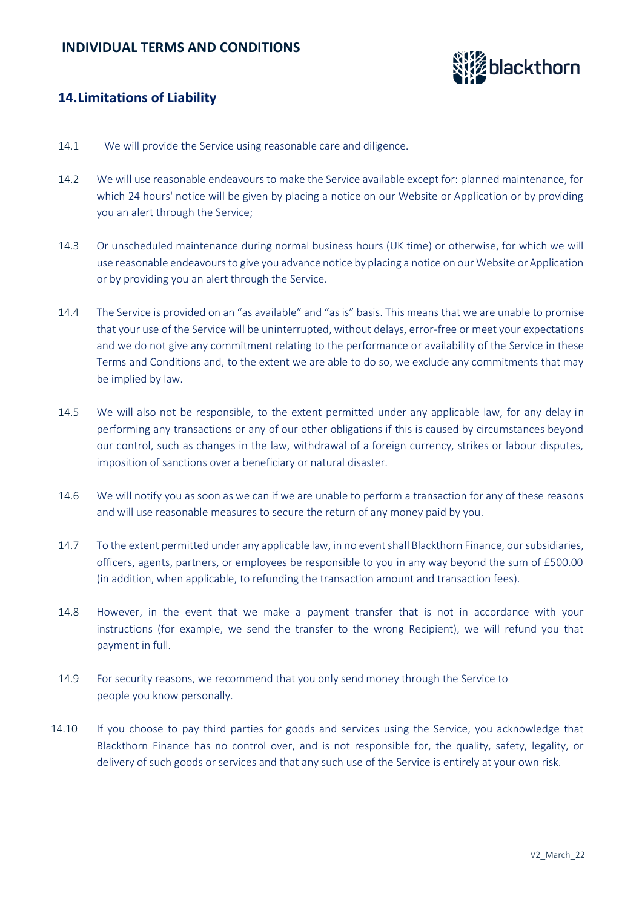

## **14.Limitations of Liability**

- 14.1 We will provide the Service using reasonable care and diligence.
- 14.2 We will use reasonable endeavours to make the Service available except for: planned maintenance, for which 24 hours' notice will be given by placing a notice on our Website or Application or by providing you an alert through the Service;
- 14.3 Or unscheduled maintenance during normal business hours (UK time) or otherwise, for which we will use reasonable endeavours to give you advance notice by placing a notice on our Website or Application or by providing you an alert through the Service.
- 14.4 The Service is provided on an "as available" and "as is" basis. This means that we are unable to promise that your use of the Service will be uninterrupted, without delays, error-free or meet your expectations and we do not give any commitment relating to the performance or availability of the Service in these Terms and Conditions and, to the extent we are able to do so, we exclude any commitments that may be implied by law.
- 14.5 We will also not be responsible, to the extent permitted under any applicable law, for any delay in performing any transactions or any of our other obligations if this is caused by circumstances beyond our control, such as changes in the law, withdrawal of a foreign currency, strikes or labour disputes, imposition of sanctions over a beneficiary or natural disaster.
- 14.6 We will notify you as soon as we can if we are unable to perform a transaction for any of these reasons and will use reasonable measures to secure the return of any money paid by you.
- 14.7 To the extent permitted under any applicable law, in no event shall Blackthorn Finance, our subsidiaries, officers, agents, partners, or employees be responsible to you in any way beyond the sum of £500.00 (in addition, when applicable, to refunding the transaction amount and transaction fees).
- 14.8 However, in the event that we make a payment transfer that is not in accordance with your instructions (for example, we send the transfer to the wrong Recipient), we will refund you that payment in full.
- 14.9 For security reasons, we recommend that you only send money through the Service to people you know personally.
- 14.10 If you choose to pay third parties for goods and services using the Service, you acknowledge that Blackthorn Finance has no control over, and is not responsible for, the quality, safety, legality, or delivery of such goods or services and that any such use of the Service is entirely at your own risk.